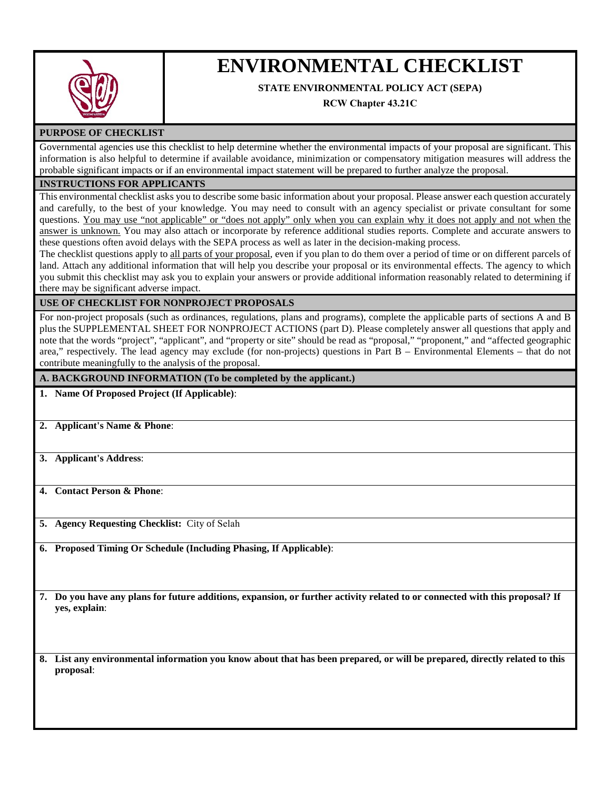

# **ENVIRONMENTAL CHECKLIST**

# **STATE ENVIRONMENTAL POLICY ACT (SEPA)**

**RCW Chapter 43.21C**

## **PURPOSE OF CHECKLIST**

Governmental agencies use this checklist to help determine whether the environmental impacts of your proposal are significant. This information is also helpful to determine if available avoidance, minimization or compensatory mitigation measures will address the probable significant impacts or if an environmental impact statement will be prepared to further analyze the proposal.

#### **INSTRUCTIONS FOR APPLICANTS**

This environmental checklist asks you to describe some basic information about your proposal. Please answer each question accurately and carefully, to the best of your knowledge. You may need to consult with an agency specialist or private consultant for some questions. You may use "not applicable" or "does not apply" only when you can explain why it does not apply and not when the answer is unknown. You may also attach or incorporate by reference additional studies reports. Complete and accurate answers to these questions often avoid delays with the SEPA process as well as later in the decision-making process.

The checklist questions apply to all parts of your proposal, even if you plan to do them over a period of time or on different parcels of land. Attach any additional information that will help you describe your proposal or its environmental effects. The agency to which you submit this checklist may ask you to explain your answers or provide additional information reasonably related to determining if there may be significant adverse impact.

### **USE OF CHECKLIST FOR NONPROJECT PROPOSALS**

For non-project proposals (such as ordinances, regulations, plans and programs), complete the applicable parts of sections A and B plus the SUPPLEMENTAL SHEET FOR NONPROJECT ACTIONS (part D). Please completely answer all questions that apply and note that the words "project", "applicant", and "property or site" should be read as "proposal," "proponent," and "affected geographic area," respectively. The lead agency may exclude (for non-projects) questions in Part B – Environmental Elements – that do not contribute meaningfully to the analysis of the proposal.

#### **A. BACKGROUND INFORMATION (To be completed by the applicant.)**

#### **1. Name Of Proposed Project (If Applicable)**:

- **2. Applicant's Name & Phone**:
- **3. Applicant's Address**:

**4. Contact Person & Phone**:

**5. Agency Requesting Checklist:** City of Selah

**6. Proposed Timing Or Schedule (Including Phasing, If Applicable)**:

**7. Do you have any plans for future additions, expansion, or further activity related to or connected with this proposal? If yes, explain**:

**8. List any environmental information you know about that has been prepared, or will be prepared, directly related to this proposal**: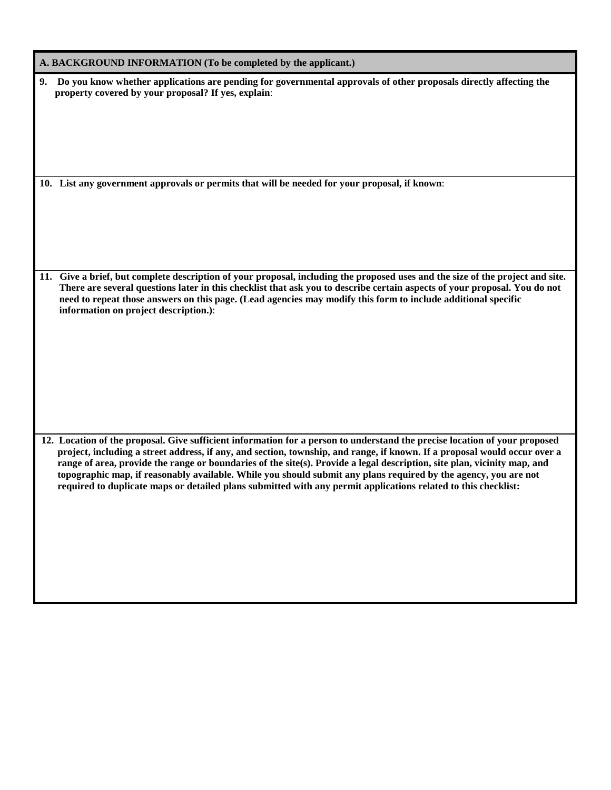| A. BACKGROUND INFORMATION (To be completed by the applicant.)                                                                                                                                                                                                                                                                                                                                                                                                                                                                                                                                                            |
|--------------------------------------------------------------------------------------------------------------------------------------------------------------------------------------------------------------------------------------------------------------------------------------------------------------------------------------------------------------------------------------------------------------------------------------------------------------------------------------------------------------------------------------------------------------------------------------------------------------------------|
| 9. Do you know whether applications are pending for governmental approvals of other proposals directly affecting the<br>property covered by your proposal? If yes, explain:<br>10. List any government approvals or permits that will be needed for your proposal, if known:                                                                                                                                                                                                                                                                                                                                             |
|                                                                                                                                                                                                                                                                                                                                                                                                                                                                                                                                                                                                                          |
| 11. Give a brief, but complete description of your proposal, including the proposed uses and the size of the project and site.<br>There are several questions later in this checklist that ask you to describe certain aspects of your proposal. You do not<br>need to repeat those answers on this page. (Lead agencies may modify this form to include additional specific<br>information on project description.):                                                                                                                                                                                                    |
| 12. Location of the proposal. Give sufficient information for a person to understand the precise location of your proposed<br>project, including a street address, if any, and section, township, and range, if known. If a proposal would occur over a<br>range of area, provide the range or boundaries of the site(s). Provide a legal description, site plan, vicinity map, and<br>topographic map, if reasonably available. While you should submit any plans required by the agency, you are not<br>required to duplicate maps or detailed plans submitted with any permit applications related to this checklist: |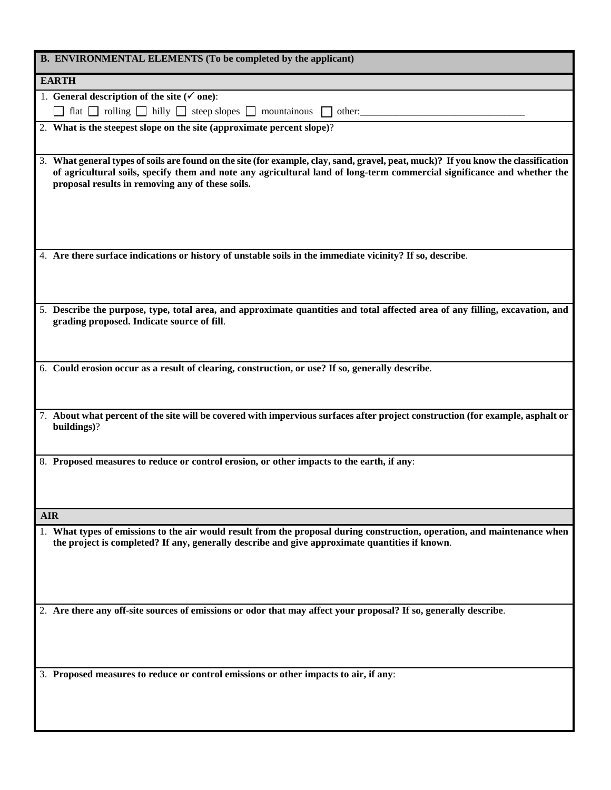| B. ENVIRONMENTAL ELEMENTS (To be completed by the applicant)                                                                                                                                                                                                                                                      |
|-------------------------------------------------------------------------------------------------------------------------------------------------------------------------------------------------------------------------------------------------------------------------------------------------------------------|
| <b>EARTH</b>                                                                                                                                                                                                                                                                                                      |
| 1. General description of the site ( $\checkmark$ one):                                                                                                                                                                                                                                                           |
| flat $\Box$ rolling $\Box$ hilly $\Box$ steep slopes $\Box$ mountainous $\Box$ other:                                                                                                                                                                                                                             |
| 2. What is the steepest slope on the site (approximate percent slope)?                                                                                                                                                                                                                                            |
|                                                                                                                                                                                                                                                                                                                   |
| 3. What general types of soils are found on the site (for example, clay, sand, gravel, peat, muck)? If you know the classification<br>of agricultural soils, specify them and note any agricultural land of long-term commercial significance and whether the<br>proposal results in removing any of these soils. |
|                                                                                                                                                                                                                                                                                                                   |
| 4. Are there surface indications or history of unstable soils in the immediate vicinity? If so, describe.                                                                                                                                                                                                         |
| 5. Describe the purpose, type, total area, and approximate quantities and total affected area of any filling, excavation, and<br>grading proposed. Indicate source of fill.                                                                                                                                       |
| 6. Could erosion occur as a result of clearing, construction, or use? If so, generally describe.                                                                                                                                                                                                                  |
|                                                                                                                                                                                                                                                                                                                   |
| 7. About what percent of the site will be covered with impervious surfaces after project construction (for example, asphalt or<br>buildings)?                                                                                                                                                                     |
| 8. Proposed measures to reduce or control erosion, or other impacts to the earth, if any:                                                                                                                                                                                                                         |
|                                                                                                                                                                                                                                                                                                                   |
| <b>AIR</b>                                                                                                                                                                                                                                                                                                        |
| 1. What types of emissions to the air would result from the proposal during construction, operation, and maintenance when<br>the project is completed? If any, generally describe and give approximate quantities if known.                                                                                       |
| 2. Are there any off-site sources of emissions or odor that may affect your proposal? If so, generally describe.                                                                                                                                                                                                  |
|                                                                                                                                                                                                                                                                                                                   |
| 3. Proposed measures to reduce or control emissions or other impacts to air, if any:                                                                                                                                                                                                                              |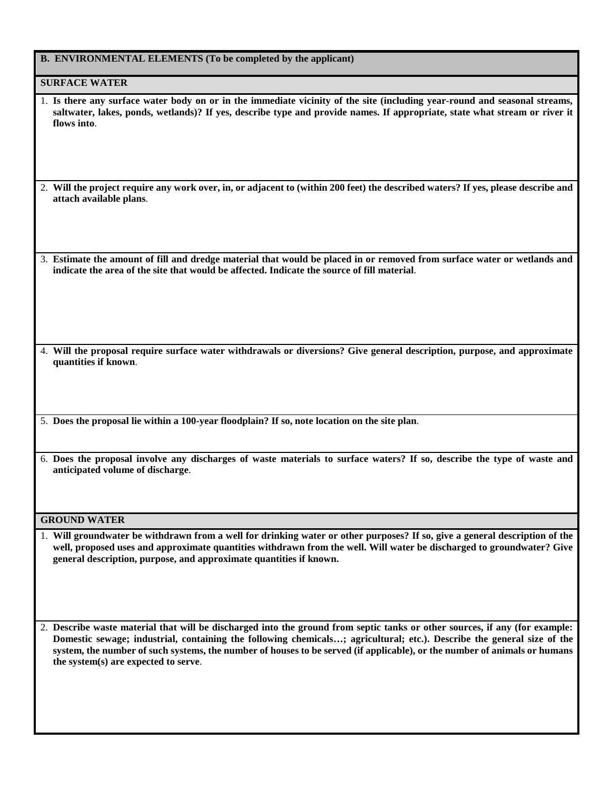|  | B. ENVIRONMENTAL ELEMENTS (To be completed by the applicant) |  |  |  |
|--|--------------------------------------------------------------|--|--|--|
|--|--------------------------------------------------------------|--|--|--|

#### **SURFACE WATER**

1. **Is there any surface water body on or in the immediate vicinity of the site (including year-round and seasonal streams, saltwater, lakes, ponds, wetlands)? If yes, describe type and provide names. If appropriate, state what stream or river it flows into**.

2. **Will the project require any work over, in, or adjacent to (within 200 feet) the described waters? If yes, please describe and attach available plans**.

3. **Estimate the amount of fill and dredge material that would be placed in or removed from surface water or wetlands and indicate the area of the site that would be affected. Indicate the source of fill material**.

4. **Will the proposal require surface water withdrawals or diversions? Give general description, purpose, and approximate quantities if known**.

5. **Does the proposal lie within a 100-year floodplain? If so, note location on the site plan**.

6. **Does the proposal involve any discharges of waste materials to surface waters? If so, describe the type of waste and anticipated volume of discharge**.

#### **GROUND WATER**

1. **Will groundwater be withdrawn from a well for drinking water or other purposes? If so, give a general description of the well, proposed uses and approximate quantities withdrawn from the well. Will water be discharged to groundwater? Give general description, purpose, and approximate quantities if known.**

2. **Describe waste material that will be discharged into the ground from septic tanks or other sources, if any (for example: Domestic sewage; industrial, containing the following chemicals…; agricultural; etc.). Describe the general size of the system, the number of such systems, the number of houses to be served (if applicable), or the number of animals or humans the system(s) are expected to serve**.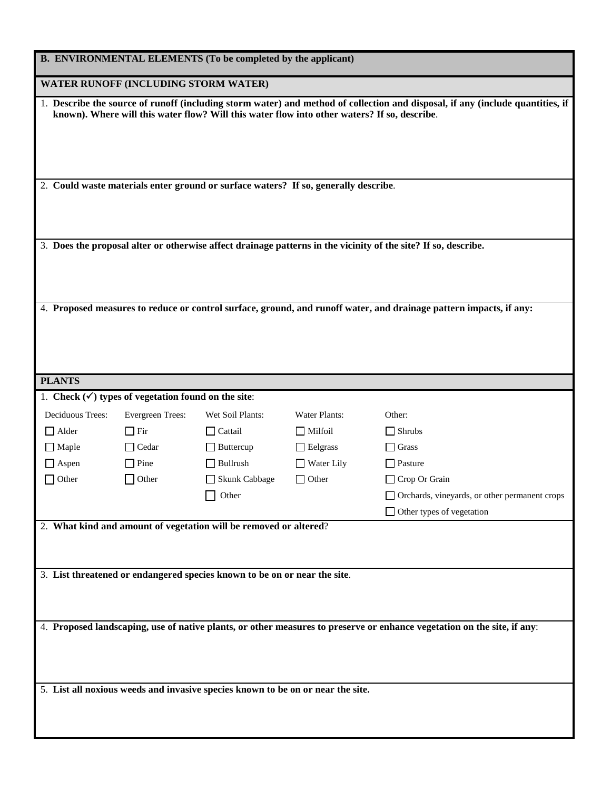|                  |                                                                                                                    | B. ENVIRONMENTAL ELEMENTS (To be completed by the applicant)                                 |                      |                                                                                                                                |
|------------------|--------------------------------------------------------------------------------------------------------------------|----------------------------------------------------------------------------------------------|----------------------|--------------------------------------------------------------------------------------------------------------------------------|
|                  | WATER RUNOFF (INCLUDING STORM WATER)                                                                               |                                                                                              |                      |                                                                                                                                |
|                  |                                                                                                                    | known). Where will this water flow? Will this water flow into other waters? If so, describe. |                      | 1. Describe the source of runoff (including storm water) and method of collection and disposal, if any (include quantities, if |
|                  |                                                                                                                    |                                                                                              |                      |                                                                                                                                |
|                  |                                                                                                                    | 2. Could waste materials enter ground or surface waters? If so, generally describe.          |                      |                                                                                                                                |
|                  |                                                                                                                    |                                                                                              |                      | 3. Does the proposal alter or otherwise affect drainage patterns in the vicinity of the site? If so, describe.                 |
|                  | 4. Proposed measures to reduce or control surface, ground, and runoff water, and drainage pattern impacts, if any: |                                                                                              |                      |                                                                                                                                |
| <b>PLANTS</b>    |                                                                                                                    |                                                                                              |                      |                                                                                                                                |
|                  | 1. Check $(\checkmark)$ types of vegetation found on the site:                                                     |                                                                                              |                      |                                                                                                                                |
| Deciduous Trees: | Evergreen Trees:                                                                                                   | Wet Soil Plants:                                                                             | <b>Water Plants:</b> | Other:                                                                                                                         |
| $\Box$ Alder     | $\Box$ Fir                                                                                                         | $\Box$ Cattail                                                                               | $\Box$ Milfoil       | $\Box$ Shrubs                                                                                                                  |
| $\Box$ Maple     | $\Box$ Cedar                                                                                                       | $\Box$ Buttercup                                                                             | $\Box$ Eelgrass      | $\Box$ Grass                                                                                                                   |
| $\Box$ Aspen     | $\Box$ Pine                                                                                                        | $\Box$ Bullrush                                                                              | $\Box$ Water Lily    | $\Box$ Pasture                                                                                                                 |
| $\Box$ Other     | $\Box$ Other                                                                                                       | Skunk Cabbage                                                                                | $\Box$ Other         | $\Box$ Crop Or Grain                                                                                                           |
|                  |                                                                                                                    | $\Box$ Other                                                                                 |                      | Orchards, vineyards, or other permanent crops                                                                                  |
|                  |                                                                                                                    |                                                                                              |                      | $\Box$ Other types of vegetation                                                                                               |
|                  |                                                                                                                    | 2. What kind and amount of vegetation will be removed or altered?                            |                      |                                                                                                                                |
|                  |                                                                                                                    | 3. List threatened or endangered species known to be on or near the site.                    |                      |                                                                                                                                |
|                  |                                                                                                                    |                                                                                              |                      | 4. Proposed landscaping, use of native plants, or other measures to preserve or enhance vegetation on the site, if any:        |
|                  |                                                                                                                    | 5. List all noxious weeds and invasive species known to be on or near the site.              |                      |                                                                                                                                |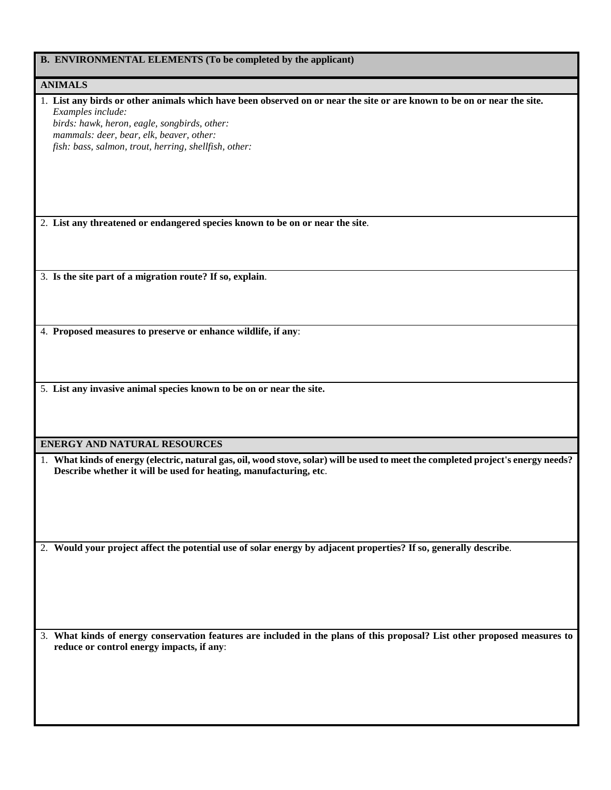|  | B. ENVIRONMENTAL ELEMENTS (To be completed by the applicant) |  |  |  |
|--|--------------------------------------------------------------|--|--|--|
|--|--------------------------------------------------------------|--|--|--|

# **ANIMALS**

| ANIMALD                                                                                                                                                                                                 |  |
|---------------------------------------------------------------------------------------------------------------------------------------------------------------------------------------------------------|--|
| 1. List any birds or other animals which have been observed on or near the site or are known to be on or near the site.<br>Examples include:                                                            |  |
| birds: hawk, heron, eagle, songbirds, other:<br>mammals: deer, bear, elk, beaver, other:                                                                                                                |  |
| fish: bass, salmon, trout, herring, shellfish, other:                                                                                                                                                   |  |
|                                                                                                                                                                                                         |  |
| 2. List any threatened or endangered species known to be on or near the site.                                                                                                                           |  |
|                                                                                                                                                                                                         |  |
| 3. Is the site part of a migration route? If so, explain.                                                                                                                                               |  |
|                                                                                                                                                                                                         |  |
| 4. Proposed measures to preserve or enhance wildlife, if any:                                                                                                                                           |  |
|                                                                                                                                                                                                         |  |
| 5. List any invasive animal species known to be on or near the site.                                                                                                                                    |  |
| <b>ENERGY AND NATURAL RESOURCES</b>                                                                                                                                                                     |  |
| 1. What kinds of energy (electric, natural gas, oil, wood stove, solar) will be used to meet the completed project's energy needs?<br>Describe whether it will be used for heating, manufacturing, etc. |  |
|                                                                                                                                                                                                         |  |
| 2. Would your project affect the potential use of solar energy by adjacent properties? If so, generally describe.                                                                                       |  |
|                                                                                                                                                                                                         |  |
|                                                                                                                                                                                                         |  |
| 3. What kinds of energy conservation features are included in the plans of this proposal? List other proposed measures to<br>reduce or control energy impacts, if any:                                  |  |
|                                                                                                                                                                                                         |  |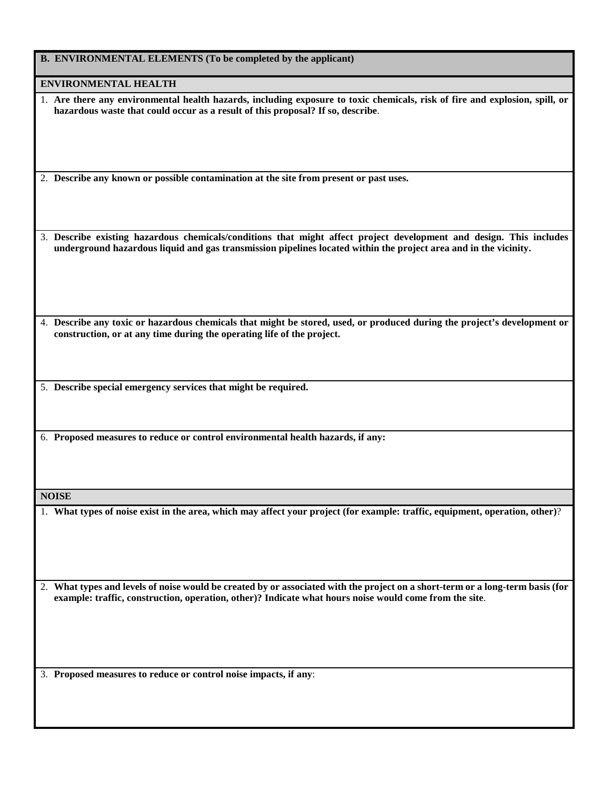| <b>B. ENVIRONMENTAL ELEMENTS (To be completed by the applicant)</b> |  |  |
|---------------------------------------------------------------------|--|--|
|                                                                     |  |  |

**ENVIRONMENTAL HEALTH**

| 1. Are there any environmental health hazards, including exposure to toxic chemicals, risk of fire and explosion, spill, or |
|-----------------------------------------------------------------------------------------------------------------------------|
| hazardous waste that could occur as a result of this proposal? If so, describe.                                             |

2. **Describe any known or possible contamination at the site from present or past uses.**

3. **Describe existing hazardous chemicals/conditions that might affect project development and design. This includes underground hazardous liquid and gas transmission pipelines located within the project area and in the vicinity.**

4. **Describe any toxic or hazardous chemicals that might be stored, used, or produced during the project's development or construction, or at any time during the operating life of the project.**

5. **Describe special emergency services that might be required.**

6. **Proposed measures to reduce or control environmental health hazards, if any:**

**NOISE**

1. **What types of noise exist in the area, which may affect your project (for example: traffic, equipment, operation, other)**?

2. **What types and levels of noise would be created by or associated with the project on a short-term or a long-term basis (for example: traffic, construction, operation, other)? Indicate what hours noise would come from the site**.

3. **Proposed measures to reduce or control noise impacts, if any**: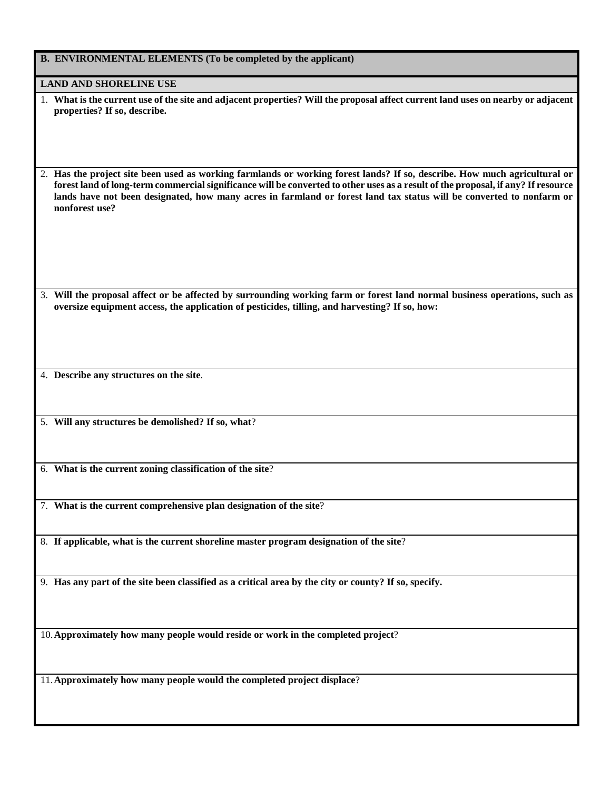| B. ENVIRONMENTAL ELEMENTS (To be completed by the applicant)                                                                                                                                                                                                                                                                                                                                             |
|----------------------------------------------------------------------------------------------------------------------------------------------------------------------------------------------------------------------------------------------------------------------------------------------------------------------------------------------------------------------------------------------------------|
| <b>LAND AND SHORELINE USE</b>                                                                                                                                                                                                                                                                                                                                                                            |
| 1. What is the current use of the site and adjacent properties? Will the proposal affect current land uses on nearby or adjacent<br>properties? If so, describe.                                                                                                                                                                                                                                         |
| 2. Has the project site been used as working farmlands or working forest lands? If so, describe. How much agricultural or<br>forest land of long-term commercial significance will be converted to other uses as a result of the proposal, if any? If resource<br>lands have not been designated, how many acres in farmland or forest land tax status will be converted to nonfarm or<br>nonforest use? |
| 3. Will the proposal affect or be affected by surrounding working farm or forest land normal business operations, such as<br>oversize equipment access, the application of pesticides, tilling, and harvesting? If so, how:                                                                                                                                                                              |
| 4. Describe any structures on the site.                                                                                                                                                                                                                                                                                                                                                                  |
| 5. Will any structures be demolished? If so, what?                                                                                                                                                                                                                                                                                                                                                       |
| 6. What is the current zoning classification of the site?                                                                                                                                                                                                                                                                                                                                                |
| 7. What is the current comprehensive plan designation of the site?                                                                                                                                                                                                                                                                                                                                       |
| 8. If applicable, what is the current shoreline master program designation of the site?                                                                                                                                                                                                                                                                                                                  |
| 9. Has any part of the site been classified as a critical area by the city or county? If so, specify.                                                                                                                                                                                                                                                                                                    |
| 10. Approximately how many people would reside or work in the completed project?                                                                                                                                                                                                                                                                                                                         |
| 11. Approximately how many people would the completed project displace?                                                                                                                                                                                                                                                                                                                                  |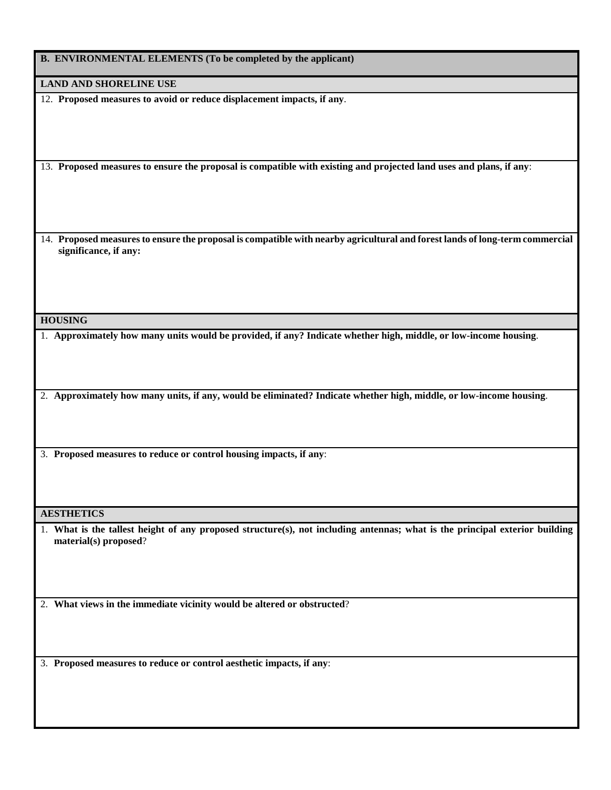| B. ENVIRONMENTAL ELEMENTS (To be completed by the applicant) |  |  |
|--------------------------------------------------------------|--|--|
|                                                              |  |  |

**LAND AND SHORELINE USE**

12. **Proposed measures to avoid or reduce displacement impacts, if any**.

13. **Proposed measures to ensure the proposal is compatible with existing and projected land uses and plans, if any**:

14. **Proposed measures to ensure the proposal is compatible with nearby agricultural and forest lands of long-term commercial significance, if any:**

#### **HOUSING**

1. **Approximately how many units would be provided, if any? Indicate whether high, middle, or low-income housing**.

2. **Approximately how many units, if any, would be eliminated? Indicate whether high, middle, or low-income housing**.

3. **Proposed measures to reduce or control housing impacts, if any**:

**AESTHETICS**

1. **What is the tallest height of any proposed structure(s), not including antennas; what is the principal exterior building material(s) proposed**?

2. **What views in the immediate vicinity would be altered or obstructed**?

3. **Proposed measures to reduce or control aesthetic impacts, if any**: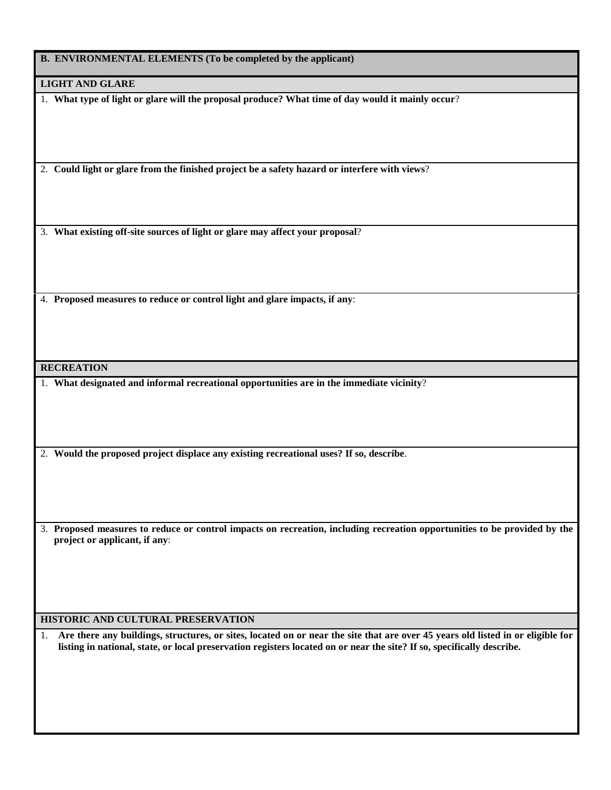**B. ENVIRONMENTAL ELEMENTS (To be completed by the applicant)**

**LIGHT AND GLARE**

1. **What type of light or glare will the proposal produce? What time of day would it mainly occur**?

2. **Could light or glare from the finished project be a safety hazard or interfere with views**?

3. **What existing off-site sources of light or glare may affect your proposal**?

4. **Proposed measures to reduce or control light and glare impacts, if any**:

**RECREATION**

1. **What designated and informal recreational opportunities are in the immediate vicinity**?

2. **Would the proposed project displace any existing recreational uses? If so, describe**.

3. **Proposed measures to reduce or control impacts on recreation, including recreation opportunities to be provided by the project or applicant, if any**:

#### **HISTORIC AND CULTURAL PRESERVATION**

1. **Are there any buildings, structures, or sites, located on or near the site that are over 45 years old listed in or eligible for listing in national, state, or local preservation registers located on or near the site? If so, specifically describe.**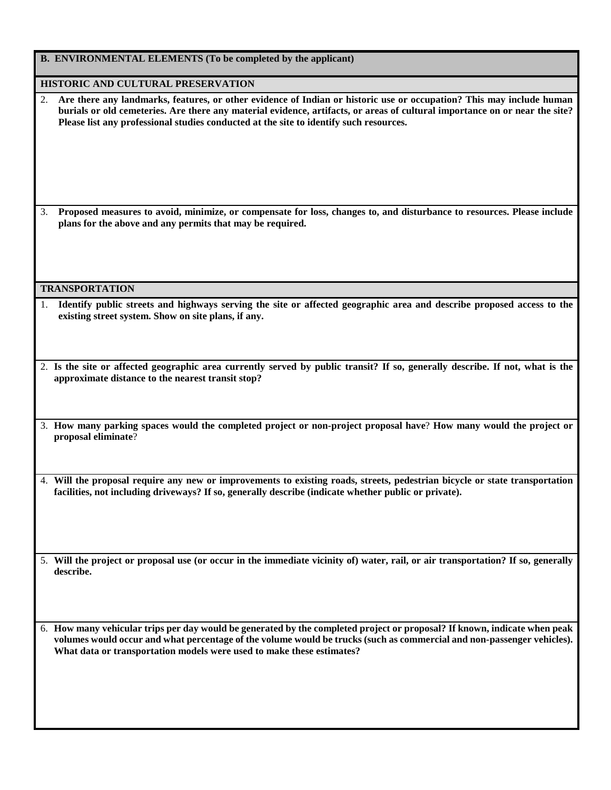| B. ENVIRONMENTAL ELEMENTS (To be completed by the applicant)                                                                                                                                                                                                                                                                                        |
|-----------------------------------------------------------------------------------------------------------------------------------------------------------------------------------------------------------------------------------------------------------------------------------------------------------------------------------------------------|
| HISTORIC AND CULTURAL PRESERVATION                                                                                                                                                                                                                                                                                                                  |
| Are there any landmarks, features, or other evidence of Indian or historic use or occupation? This may include human<br>2.<br>burials or old cemeteries. Are there any material evidence, artifacts, or areas of cultural importance on or near the site?<br>Please list any professional studies conducted at the site to identify such resources. |
| Proposed measures to avoid, minimize, or compensate for loss, changes to, and disturbance to resources. Please include<br>3.<br>plans for the above and any permits that may be required.                                                                                                                                                           |
| <b>TRANSPORTATION</b>                                                                                                                                                                                                                                                                                                                               |
| Identify public streets and highways serving the site or affected geographic area and describe proposed access to the<br>1.<br>existing street system. Show on site plans, if any.                                                                                                                                                                  |
| 2. Is the site or affected geographic area currently served by public transit? If so, generally describe. If not, what is the<br>approximate distance to the nearest transit stop?                                                                                                                                                                  |
| 3. How many parking spaces would the completed project or non-project proposal have? How many would the project or<br>proposal eliminate?                                                                                                                                                                                                           |
| 4. Will the proposal require any new or improvements to existing roads, streets, pedestrian bicycle or state transportation<br>facilities, not including driveways? If so, generally describe (indicate whether public or private).                                                                                                                 |
| 5. Will the project or proposal use (or occur in the immediate vicinity of) water, rail, or air transportation? If so, generally<br>describe.                                                                                                                                                                                                       |
| 6. How many vehicular trips per day would be generated by the completed project or proposal? If known, indicate when peak<br>volumes would occur and what percentage of the volume would be trucks (such as commercial and non-passenger vehicles).<br>What data or transportation models were used to make these estimates?                        |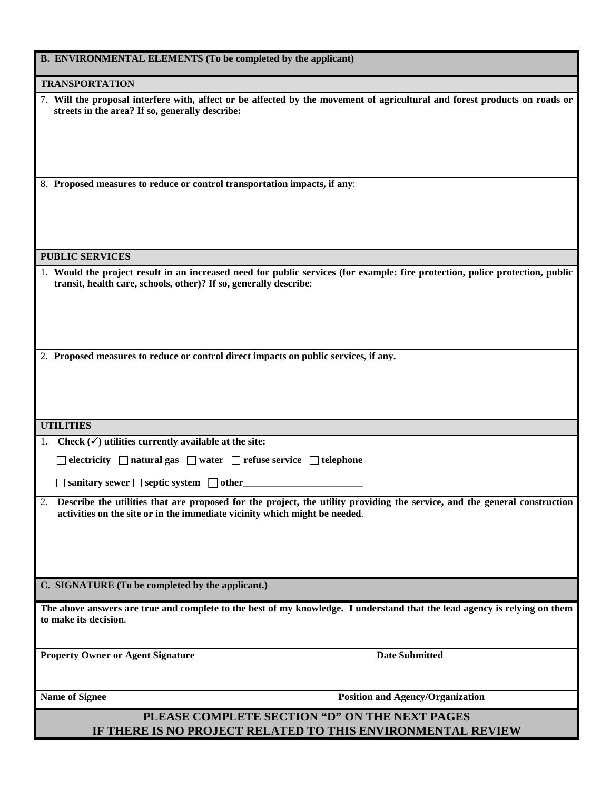| <b>B. ENVIRONMENTAL ELEMENTS (To be completed by the applicant)</b>                                                                                                                                        |
|------------------------------------------------------------------------------------------------------------------------------------------------------------------------------------------------------------|
| <b>TRANSPORTATION</b>                                                                                                                                                                                      |
| 7. Will the proposal interfere with, affect or be affected by the movement of agricultural and forest products on roads or<br>streets in the area? If so, generally describe:                              |
| 8. Proposed measures to reduce or control transportation impacts, if any:                                                                                                                                  |
| <b>PUBLIC SERVICES</b>                                                                                                                                                                                     |
| 1. Would the project result in an increased need for public services (for example: fire protection, police protection, public<br>transit, health care, schools, other)? If so, generally describe:         |
| 2. Proposed measures to reduce or control direct impacts on public services, if any.                                                                                                                       |
|                                                                                                                                                                                                            |
| <b>UTILITIES</b>                                                                                                                                                                                           |
| 1. Check $(\checkmark)$ utilities currently available at the site:                                                                                                                                         |
| $\Box$ electricity $\Box$ natural gas $\Box$ water $\Box$ refuse service $\Box$ telephone                                                                                                                  |
| $\Box$ sanitary sewer $\Box$ septic system $\Box$ other                                                                                                                                                    |
| 2. Describe the utilities that are proposed for the project, the utility providing the service, and the general construction<br>activities on the site or in the immediate vicinity which might be needed. |
| C. SIGNATURE (To be completed by the applicant.)                                                                                                                                                           |
| The above answers are true and complete to the best of my knowledge. I understand that the lead agency is relying on them<br>to make its decision.                                                         |
| <b>Date Submitted</b><br><b>Property Owner or Agent Signature</b>                                                                                                                                          |
| Name of Signee<br><b>Position and Agency/Organization</b>                                                                                                                                                  |
| PLEASE COMPLETE SECTION "D" ON THE NEXT PAGES<br>IF THERE IS NO PROJECT RELATED TO THIS ENVIRONMENTAL REVIEW                                                                                               |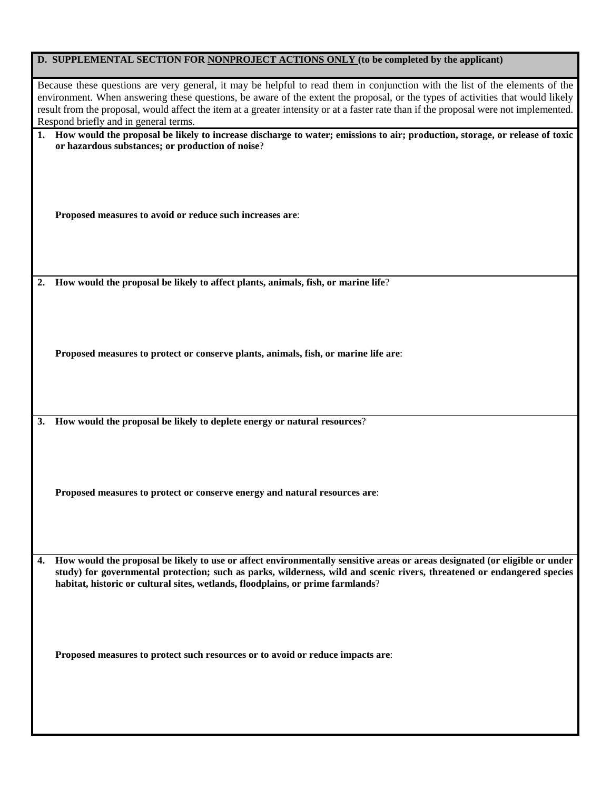| D. SUPPLEMENTAL SECTION FOR NONPROJECT ACTIONS ONLY (to be completed by the applicant)                                                                                                                                                                                                                                                                                                                                                           |  |  |
|--------------------------------------------------------------------------------------------------------------------------------------------------------------------------------------------------------------------------------------------------------------------------------------------------------------------------------------------------------------------------------------------------------------------------------------------------|--|--|
| Because these questions are very general, it may be helpful to read them in conjunction with the list of the elements of the<br>environment. When answering these questions, be aware of the extent the proposal, or the types of activities that would likely<br>result from the proposal, would affect the item at a greater intensity or at a faster rate than if the proposal were not implemented.<br>Respond briefly and in general terms. |  |  |
| How would the proposal be likely to increase discharge to water; emissions to air; production, storage, or release of toxic<br>or hazardous substances; or production of noise?                                                                                                                                                                                                                                                                  |  |  |
| Proposed measures to avoid or reduce such increases are:                                                                                                                                                                                                                                                                                                                                                                                         |  |  |
| How would the proposal be likely to affect plants, animals, fish, or marine life?<br>2.                                                                                                                                                                                                                                                                                                                                                          |  |  |
| Proposed measures to protect or conserve plants, animals, fish, or marine life are:                                                                                                                                                                                                                                                                                                                                                              |  |  |
| How would the proposal be likely to deplete energy or natural resources?<br><b>3.</b>                                                                                                                                                                                                                                                                                                                                                            |  |  |
| Proposed measures to protect or conserve energy and natural resources are:                                                                                                                                                                                                                                                                                                                                                                       |  |  |
| How would the proposal be likely to use or affect environmentally sensitive areas or areas designated (or eligible or under<br>4.<br>study) for governmental protection; such as parks, wilderness, wild and scenic rivers, threatened or endangered species<br>habitat, historic or cultural sites, wetlands, floodplains, or prime farmlands?                                                                                                  |  |  |
| Proposed measures to protect such resources or to avoid or reduce impacts are:                                                                                                                                                                                                                                                                                                                                                                   |  |  |
|                                                                                                                                                                                                                                                                                                                                                                                                                                                  |  |  |